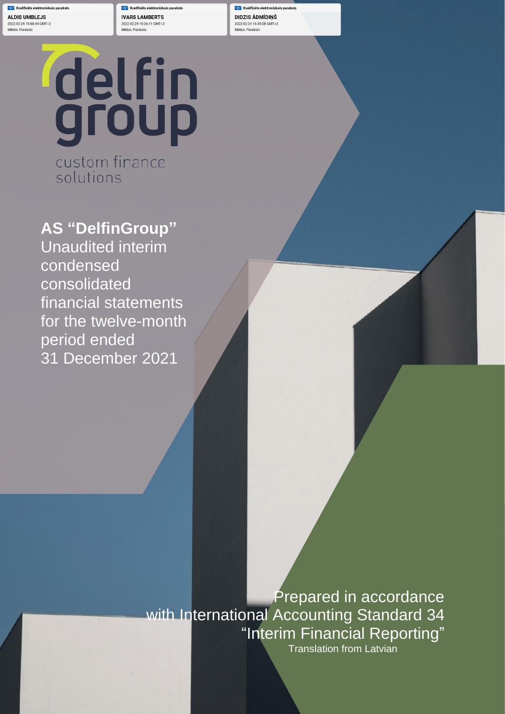**ALDIS UMBLEJS** 2022-02-24 15:00:44 GMT+2 Mērkis: Paraksts

**IVARS LAMBERTS** 2022-02-24 15:26:11 GMT+2 Mērkis: Paraksts

DIDZIS ĀDMĪDIŅŠ 2022-02-24 16:35:08 GMT+2 Mērkis: Paraksts

statements for the period ended 31 December 2021

# delfin<br>group custom finance

solutions

**AS "DelfinGroup"** Unaudited interim condensed consolidated financial statements for the twelve-month period ended 31 December 2021

> Prepared in accordance with International Accounting Standard 34 "Interim Financial Reporting" Translation from Latvian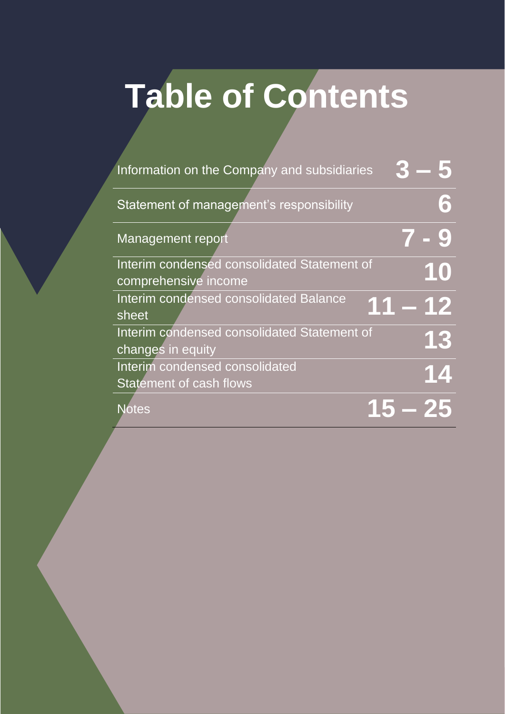## **Table of Contents**

| Information on the Company and subsidiaries |        |
|---------------------------------------------|--------|
| Statement of management's responsibility    | 6      |
| <b>Management report</b>                    |        |
| Interim condensed consolidated Statement of | 10     |
| comprehensive income                        |        |
| Interim condensed consolidated Balance      | 1 – 12 |
| sheet                                       |        |
| Interim condensed consolidated Statement of | 13     |
| changes in equity                           |        |
| Interim condensed consolidated              | 14     |
| <b>Statement of cash flows</b>              |        |
| Notes                                       |        |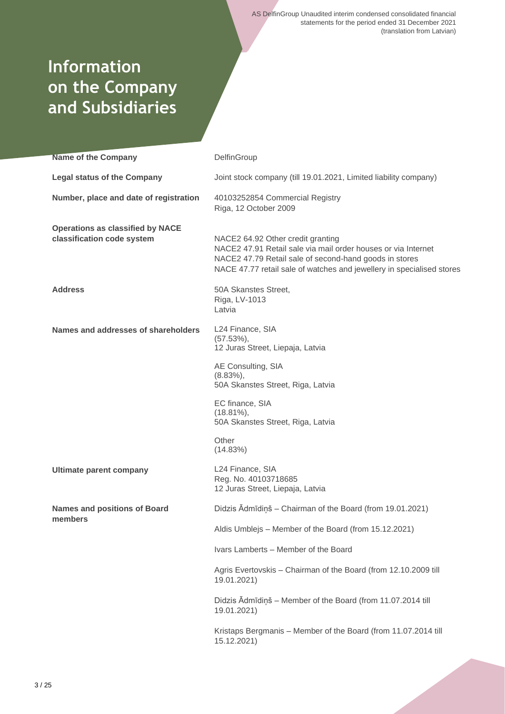## **Information on the Company and Subsidiaries**

| <b>Name of the Company</b>                                            | DelfinGroup                                                                                                                                                                                                                           |
|-----------------------------------------------------------------------|---------------------------------------------------------------------------------------------------------------------------------------------------------------------------------------------------------------------------------------|
| <b>Legal status of the Company</b>                                    | Joint stock company (till 19.01.2021, Limited liability company)                                                                                                                                                                      |
| Number, place and date of registration                                | 40103252854 Commercial Registry<br>Riga, 12 October 2009                                                                                                                                                                              |
| <b>Operations as classified by NACE</b><br>classification code system | NACE2 64.92 Other credit granting<br>NACE2 47.91 Retail sale via mail order houses or via Internet<br>NACE2 47.79 Retail sale of second-hand goods in stores<br>NACE 47.77 retail sale of watches and jewellery in specialised stores |
| <b>Address</b>                                                        | 50A Skanstes Street,<br>Riga, LV-1013<br>Latvia                                                                                                                                                                                       |
| Names and addresses of shareholders                                   | L24 Finance, SIA<br>$(57.53\%),$<br>12 Juras Street, Liepaja, Latvia                                                                                                                                                                  |
|                                                                       | AE Consulting, SIA<br>$(8.83\%),$<br>50A Skanstes Street, Riga, Latvia                                                                                                                                                                |
|                                                                       | EC finance, SIA<br>$(18.81\%),$<br>50A Skanstes Street, Riga, Latvia                                                                                                                                                                  |
|                                                                       | Other<br>(14.83%)                                                                                                                                                                                                                     |
| <b>Ultimate parent company</b>                                        | L24 Finance, SIA<br>Reg. No. 40103718685<br>12 Juras Street, Liepaja, Latvia                                                                                                                                                          |
| <b>Names and positions of Board</b><br>members                        | Didzis Ādmīdiņš - Chairman of the Board (from 19.01.2021)                                                                                                                                                                             |
|                                                                       | Aldis Umblejs - Member of the Board (from 15.12.2021)                                                                                                                                                                                 |
|                                                                       | Ivars Lamberts - Member of the Board                                                                                                                                                                                                  |
|                                                                       | Agris Evertovskis - Chairman of the Board (from 12.10.2009 till<br>19.01.2021)                                                                                                                                                        |
|                                                                       | Didzis Ādmīdiņš - Member of the Board (from 11.07.2014 till<br>19.01.2021)                                                                                                                                                            |
|                                                                       | Kristaps Bergmanis - Member of the Board (from 11.07.2014 till<br>15.12.2021)                                                                                                                                                         |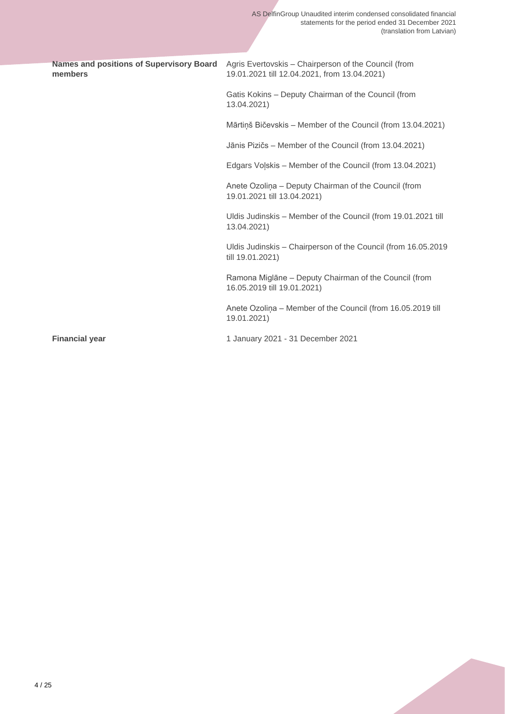| members               | Names and positions of Supervisory Board Agris Evertovskis - Chairperson of the Council (from<br>19.01.2021 till 12.04.2021, from 13.04.2021) |
|-----------------------|-----------------------------------------------------------------------------------------------------------------------------------------------|
|                       | Gatis Kokins – Deputy Chairman of the Council (from<br>13.04.2021)                                                                            |
|                       | Mārtiņš Bičevskis - Member of the Council (from 13.04.2021)                                                                                   |
|                       | Jānis Pizičs - Member of the Council (from 13.04.2021)                                                                                        |
|                       | Edgars Volskis - Member of the Council (from 13.04.2021)                                                                                      |
|                       | Anete Ozoliņa - Deputy Chairman of the Council (from<br>19.01.2021 till 13.04.2021)                                                           |
|                       | Uldis Judinskis - Member of the Council (from 19.01.2021 till<br>13.04.2021)                                                                  |
|                       | Uldis Judinskis - Chairperson of the Council (from 16.05.2019<br>till 19.01.2021)                                                             |
|                       | Ramona Miglāne - Deputy Chairman of the Council (from<br>16.05.2019 till 19.01.2021)                                                          |
|                       | Anete Ozolina - Member of the Council (from 16.05.2019 till<br>19.01.2021)                                                                    |
| <b>Financial year</b> | 1 January 2021 - 31 December 2021                                                                                                             |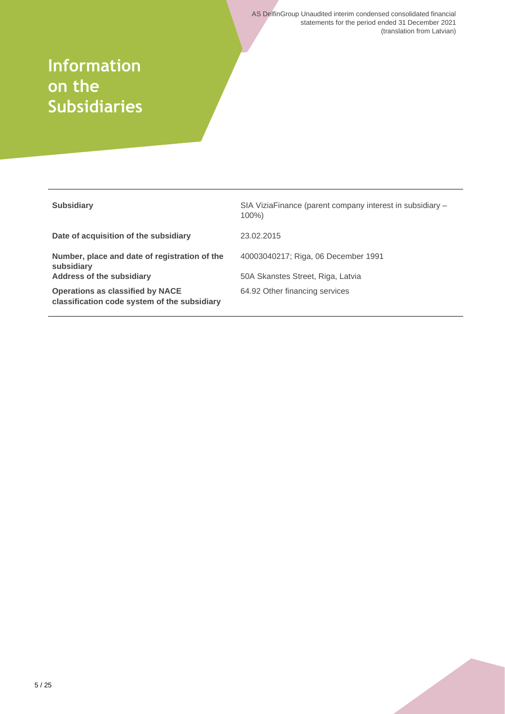## **Information on the Subsidiaries**

| <b>Subsidiary</b>                                                                       | SIA ViziaFinance (parent company interest in subsidiary -<br>$100\%$ |
|-----------------------------------------------------------------------------------------|----------------------------------------------------------------------|
| Date of acquisition of the subsidiary                                                   | 23.02.2015                                                           |
| Number, place and date of registration of the<br>subsidiary                             | 40003040217; Riga, 06 December 1991                                  |
| <b>Address of the subsidiary</b>                                                        | 50A Skanstes Street, Riga, Latvia                                    |
| <b>Operations as classified by NACE</b><br>classification code system of the subsidiary | 64.92 Other financing services                                       |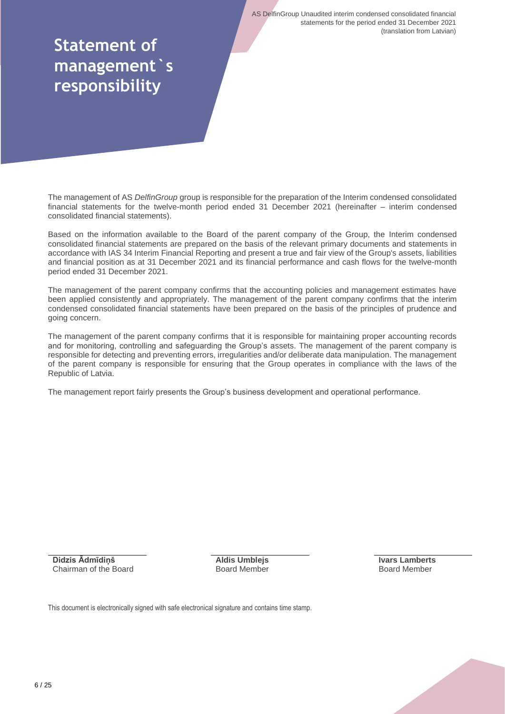## **Statement of management`s responsibility**

The management of AS *DelfinGroup* group is responsible for the preparation of the Interim condensed consolidated financial statements for the twelve-month period ended 31 December 2021 (hereinafter – interim condensed consolidated financial statements).

Based on the information available to the Board of the parent company of the Group, the Interim condensed consolidated financial statements are prepared on the basis of the relevant primary documents and statements in accordance with IAS 34 Interim Financial Reporting and present a true and fair view of the Group's assets, liabilities and financial position as at 31 December 2021 and its financial performance and cash flows for the twelve-month period ended 31 December 2021.

The management of the parent company confirms that the accounting policies and management estimates have been applied consistently and appropriately. The management of the parent company confirms that the interim condensed consolidated financial statements have been prepared on the basis of the principles of prudence and going concern.

The management of the parent company confirms that it is responsible for maintaining proper accounting records and for monitoring, controlling and safeguarding the Group's assets. The management of the parent company is responsible for detecting and preventing errors, irregularities and/or deliberate data manipulation. The management of the parent company is responsible for ensuring that the Group operates in compliance with the laws of the Republic of Latvia.

The management report fairly presents the Group's business development and operational performance.

**Didzis Ādmīdiņš** Chairman of the Board **Aldis Umblejs** Board Member **Ivars Lamberts** Board Member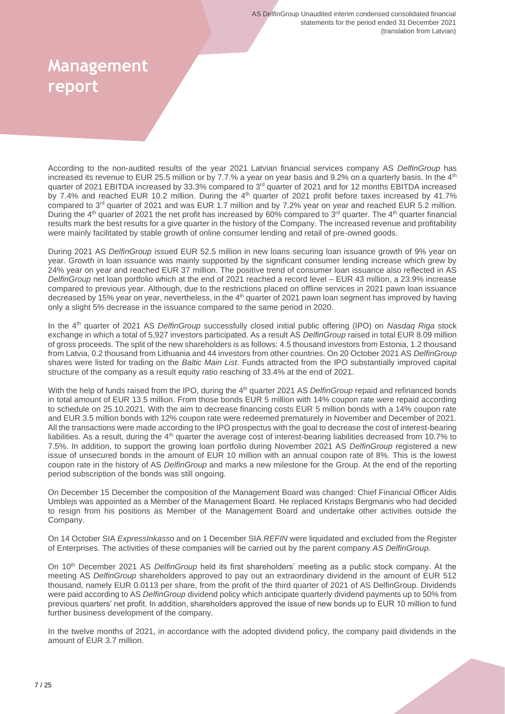## **Management report**

According to the non-audited results of the year 2021 Latvian financial services company AS *DelfinGroup* has increased its revenue to EUR 25.5 million or by 7.7.% a year on year basis and 9.2% on a quarterly basis. In the 4<sup>th</sup> quarter of 2021 EBITDA increased by 33.3% compared to 3<sup>rd</sup> quarter of 2021 and for 12 months EBITDA increased by 7.4% and reached EUR 10.2 million. During the 4<sup>th</sup> quarter of 2021 profit before taxes increased by 41.7% compared to  $3<sup>rd</sup>$  quarter of 2021 and was EUR 1.7 million and by 7.2% year on year and reached EUR 5.2 million. During the  $4<sup>th</sup>$  quarter of 2021 the net profit has increased by 60% compared to 3<sup>rd</sup> quarter. The  $4<sup>th</sup>$  quarter financial results mark the best results for a give quarter in the history of the Company. The increased revenue and profitability were mainly facilitated by stable growth of online consumer lending and retail of pre-owned goods.

During 2021 AS *DelfinGroup* issued EUR 52.5 million in new loans securing loan issuance growth of 9% year on year. Growth in loan issuance was mainly supported by the significant consumer lending increase which grew by 24% year on year and reached EUR 37 million. The positive trend of consumer loan issuance also reflected in AS *DelfinGroup* net loan portfolio which at the end of 2021 reached a record level – EUR 43 million, a 23.9% increase compared to previous year. Although, due to the restrictions placed on offline services in 2021 pawn loan issuance decreased by 15% year on year, nevertheless, in the 4<sup>th</sup> quarter of 2021 pawn loan segment has improved by having only a slight 5% decrease in the issuance compared to the same period in 2020.

In the 4th quarter of 2021 AS *DelfinGroup* successfully closed initial public offering (IPO) on *Nasdaq Riga* stock exchange in which a total of 5,927 investors participated. As a result AS *DelfinGroup* raised in total EUR 8.09 million of gross proceeds. The split of the new shareholders is as follows: 4.5 thousand investors from Estonia, 1.2 thousand from Latvia, 0.2 thousand from Lithuania and 44 investors from other countries. On 20 October 2021 AS *DelfinGroup* shares were listed for trading on the *Baltic Main List*. Funds attracted from the IPO substantially improved capital structure of the company as a result equity ratio reaching of 33.4% at the end of 2021.

With the help of funds raised from the IPO, during the 4<sup>th</sup> quarter 2021 AS *DelfinGroup* repaid and refinanced bonds in total amount of EUR 13.5 million. From those bonds EUR 5 million with 14% coupon rate were repaid according to schedule on 25.10.2021. With the aim to decrease financing costs EUR 5 million bonds with a 14% coupon rate and EUR 3.5 million bonds with 12% coupon rate were redeemed prematurely in November and December of 2021. All the transactions were made according to the IPO prospectus with the goal to decrease the cost of interest-bearing liabilities. As a result, during the 4<sup>th</sup> quarter the average cost of interest-bearing liabilities decreased from 10.7% to 7.5%. In addition, to support the growing loan portfolio during November 2021 AS *DelfinGroup* registered a new issue of unsecured bonds in the amount of EUR 10 million with an annual coupon rate of 8%. This is the lowest coupon rate in the history of AS *DelfinGroup* and marks a new milestone for the Group. At the end of the reporting period subscription of the bonds was still ongoing.

On December 15 December the composition of the Management Board was changed: Chief Financial Officer Aldis Umblejs was appointed as a Member of the Management Board. He replaced Kristaps Bergmanis who had decided to resign from his positions as Member of the Management Board and undertake other activities outside the Company.

On 14 October SIA *ExpressInkasso* and on 1 December SIA *REFIN* were liquidated and excluded from the Register of Enterprises. The activities of these companies will be carried out by the parent company *AS DelfinGroup.*

On 10th December 2021 AS *DelfinGroup* held its first shareholders' meeting as a public stock company. At the meeting AS *DelfinGroup* shareholders approved to pay out an extraordinary dividend in the amount of EUR 512 thousand, namely EUR 0.0113 per share, from the profit of the third quarter of 2021 of AS DelfinGroup. Dividends were paid according to AS *DelfinGroup* dividend policy which anticipate quarterly dividend payments up to 50% from previous quarters' net profit. In addition, shareholders approved the issue of new bonds up to EUR 10 million to fund further business development of the company.

In the twelve months of 2021, in accordance with the adopted dividend policy, the company paid dividends in the amount of EUR 3.7 million.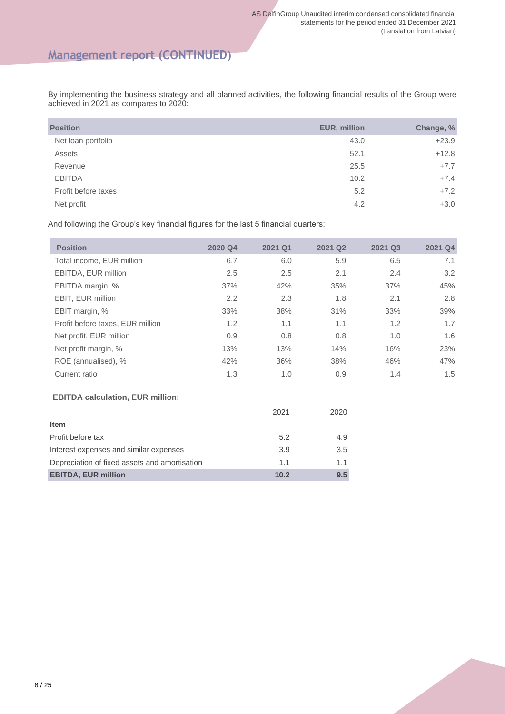## **Management report (CONTINUED)**

By implementing the business strategy and all planned activities, the following financial results of the Group were achieved in 2021 as compares to 2020:

| <b>Position</b>     | EUR, million | Change, % |
|---------------------|--------------|-----------|
| Net loan portfolio  | 43.0         | $+23.9$   |
| Assets              | 52.1         | $+12.8$   |
| Revenue             | 25.5         | $+7.7$    |
| <b>EBITDA</b>       | 10.2         | $+7.4$    |
| Profit before taxes | 5.2          | $+7.2$    |
| Net profit          | 4.2          | $+3.0$    |

And following the Group's key financial figures for the last 5 financial quarters:

| <b>Position</b>                               | 2020 Q4 | 2021 Q1 | 2021 Q2 | 2021 Q3 | 2021 Q4 |
|-----------------------------------------------|---------|---------|---------|---------|---------|
| Total income, EUR million                     | 6.7     | 6.0     | 5.9     | 6.5     | 7.1     |
| EBITDA, EUR million                           | 2.5     | 2.5     | 2.1     | 2.4     | 3.2     |
| EBITDA margin, %                              | 37%     | 42%     | 35%     | 37%     | 45%     |
| EBIT, EUR million                             | 2.2     | 2.3     | 1.8     | 2.1     | 2.8     |
| EBIT margin, %                                | 33%     | 38%     | 31%     | 33%     | 39%     |
| Profit before taxes, EUR million              | 1.2     | 1.1     | 1.1     | 1.2     | 1.7     |
| Net profit, EUR million                       | 0.9     | 0.8     | 0.8     | 1.0     | 1.6     |
| Net profit margin, %                          | 13%     | 13%     | 14%     | 16%     | 23%     |
| ROE (annualised), %                           | 42%     | 36%     | 38%     | 46%     | 47%     |
| Current ratio                                 | 1.3     | 1.0     | 0.9     | 1.4     | 1.5     |
| <b>EBITDA calculation, EUR million:</b>       |         |         |         |         |         |
|                                               |         | 2021    | 2020    |         |         |
| Item                                          |         |         |         |         |         |
| Profit before tax                             |         | 5.2     | 4.9     |         |         |
| Interest expenses and similar expenses        |         | 3.9     | 3.5     |         |         |
| Depreciation of fixed assets and amortisation |         | 1.1     | 1.1     |         |         |
| <b>EBITDA, EUR million</b>                    |         | 10.2    | 9.5     |         |         |
|                                               |         |         |         |         |         |

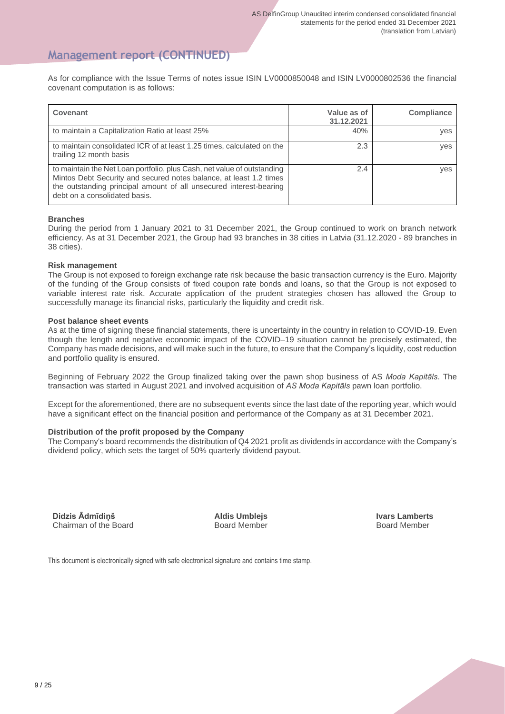## **Management report (CONTINUED)**

As for compliance with the Issue Terms of notes issue ISIN LV0000850048 and ISIN LV0000802536 the financial covenant computation is as follows:

| Covenant                                                                                                                                                                                                                                             | Value as of<br>31.12.2021 | Compliance |
|------------------------------------------------------------------------------------------------------------------------------------------------------------------------------------------------------------------------------------------------------|---------------------------|------------|
| to maintain a Capitalization Ratio at least 25%                                                                                                                                                                                                      | 40%                       | yes        |
| to maintain consolidated ICR of at least 1.25 times, calculated on the<br>trailing 12 month basis                                                                                                                                                    | 2.3                       | yes        |
| to maintain the Net Loan portfolio, plus Cash, net value of outstanding<br>Mintos Debt Security and secured notes balance, at least 1.2 times<br>the outstanding principal amount of all unsecured interest-bearing<br>debt on a consolidated basis. | 2.4                       | yes        |

#### **Branches**

During the period from 1 January 2021 to 31 December 2021, the Group continued to work on branch network efficiency. As at 31 December 2021, the Group had 93 branches in 38 cities in Latvia (31.12.2020 - 89 branches in 38 cities).

#### **Risk management**

The Group is not exposed to foreign exchange rate risk because the basic transaction currency is the Euro. Majority of the funding of the Group consists of fixed coupon rate bonds and loans, so that the Group is not exposed to variable interest rate risk. Accurate application of the prudent strategies chosen has allowed the Group to successfully manage its financial risks, particularly the liquidity and credit risk.

#### **Post balance sheet events**

As at the time of signing these financial statements, there is uncertainty in the country in relation to COVID-19. Even though the length and negative economic impact of the COVID–19 situation cannot be precisely estimated, the Company has made decisions, and will make such in the future, to ensure that the Company's liquidity, cost reduction and portfolio quality is ensured.

Beginning of February 2022 the Group finalized taking over the pawn shop business of AS *Moda Kapitāls*. The transaction was started in August 2021 and involved acquisition of *AS Moda Kapitāls* pawn loan portfolio.

Except for the aforementioned, there are no subsequent events since the last date of the reporting year, which would have a significant effect on the financial position and performance of the Company as at 31 December 2021.

#### **Distribution of the profit proposed by the Company**

The Company's board recommends the distribution of Q4 2021 profit as dividends in accordance with the Company's dividend policy, which sets the target of 50% quarterly dividend payout.

**Didzis Ādmīdiņš** Chairman of the Board

**Aldis Umblejs** Board Member **Ivars Lamberts** Board Member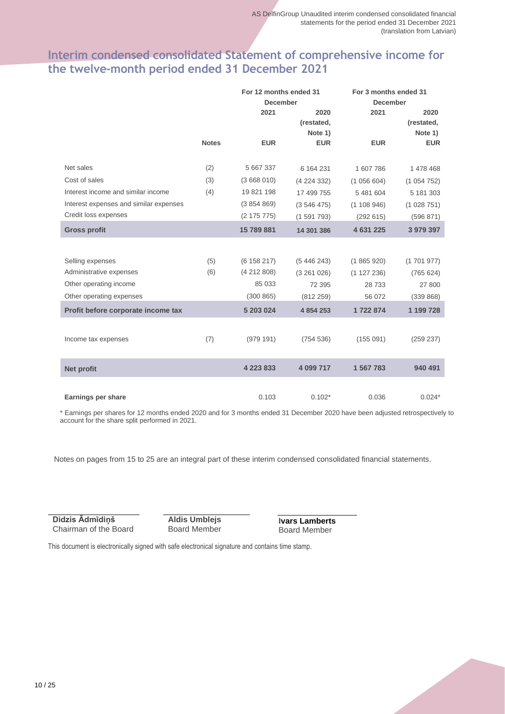## **Interim condensed consolidated Statement of comprehensive income for the twelve-month period ended 31 December 2021**

|                                        |              | For 12 months ended 31 |            | For 3 months ended 31 |            |
|----------------------------------------|--------------|------------------------|------------|-----------------------|------------|
|                                        |              | <b>December</b>        |            | <b>December</b>       |            |
|                                        |              | 2021                   | 2020       | 2021                  | 2020       |
|                                        |              |                        | (restated, |                       | (restated, |
|                                        |              |                        | Note 1)    |                       | Note 1)    |
|                                        | <b>Notes</b> | <b>EUR</b>             | <b>EUR</b> | <b>EUR</b>            | <b>EUR</b> |
|                                        |              |                        |            |                       |            |
| Net sales                              | (2)          | 5 667 337              | 6 164 231  | 1 607 786             | 1 478 468  |
| Cost of sales                          | (3)          | (3668010)              | (4224332)  | (1056604)             | (1054752)  |
| Interest income and similar income     | (4)          | 19 821 198             | 17 499 755 | 5 481 604             | 5 181 303  |
| Interest expenses and similar expenses |              | (3854869)              | (3546475)  | (1108946)             | (1028751)  |
| Credit loss expenses                   |              | (2 175 775)            | (1591793)  | (292 615)             | (596 871)  |
| <b>Gross profit</b>                    |              | 15 789 881             | 14 301 386 | 4 631 225             | 3 979 397  |
|                                        |              |                        |            |                       |            |
| Selling expenses                       | (5)          | (6158217)              | (5446243)  | (1865920)             | (1701977)  |
| Administrative expenses                | (6)          | (4212808)              | (3261026)  | (1127236)             | (765624)   |
| Other operating income                 |              | 85 033                 | 72 395     | 28 733                | 27 800     |
| Other operating expenses               |              | (300 865)              | (812 259)  | 56 072                | (339 868)  |
| Profit before corporate income tax     |              | 5 203 024              | 4 854 253  | 1722874               | 1 199 728  |
|                                        |              |                        |            |                       |            |
| Income tax expenses                    | (7)          | (979191)               | (754 536)  | (155091)              | (259 237)  |
|                                        |              |                        |            |                       |            |
| <b>Net profit</b>                      |              | 4 2 2 3 8 3 3          | 4 099 717  | 1 567 783             | 940 491    |
|                                        |              |                        |            |                       |            |
| Earnings per share                     |              | 0.103                  | $0.102*$   | 0.036                 | $0.024*$   |

\* Earnings per shares for 12 months ended 2020 and for 3 months ended 31 December 2020 have been adjusted retrospectively to account for the share split performed in 2021.

Notes on pages from 15 to 25 are an integral part of these interim condensed consolidated financial statements.

**Didzis Ādmīdiņš** Chairman of the Board

**Aldis Umblejs** Board Member **Ivars Lamberts** Board Member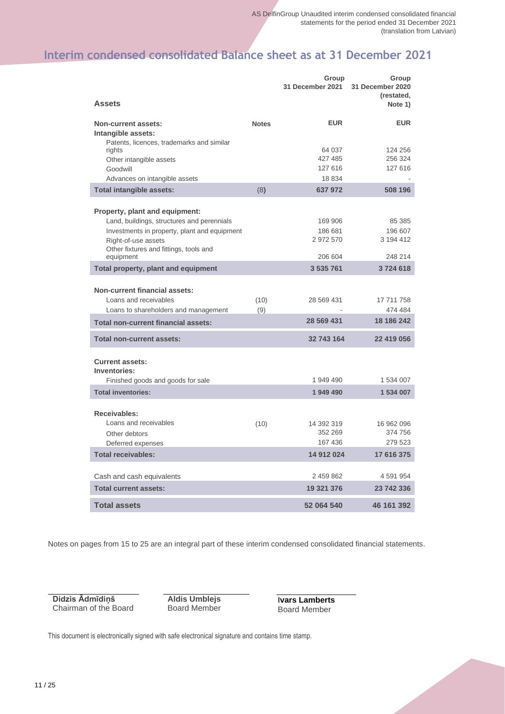## **Interim condensed consolidated Balance sheet as at 31 December 2021**

|                                                                                                       |              | Group<br>31 December 2021 | Group<br>31 December 2020<br>(restated, |
|-------------------------------------------------------------------------------------------------------|--------------|---------------------------|-----------------------------------------|
| <b>Assets</b>                                                                                         |              |                           | Note 1)                                 |
| <b>Non-current assets:</b><br>Intangible assets:<br>Patents, licences, trademarks and similar         | <b>Notes</b> | <b>EUR</b>                | <b>EUR</b>                              |
| rights<br>Other intangible assets                                                                     |              | 64 037<br>427 485         | 124 256<br>256 324                      |
| Goodwill                                                                                              |              | 127 616                   | 127 616                                 |
| Advances on intangible assets<br><b>Total intangible assets:</b>                                      | (8)          | 18 834<br>637 972         | 508 196                                 |
|                                                                                                       |              |                           |                                         |
| <b>Property, plant and equipment:</b>                                                                 |              |                           |                                         |
| Land, buildings, structures and perennials                                                            |              | 169 906                   | 85 385                                  |
| Investments in property, plant and equipment                                                          |              | 186 681<br>2 972 570      | 196 607<br>3 194 412                    |
| Right-of-use assets<br>Other fixtures and fittings, tools and                                         |              |                           |                                         |
| equipment                                                                                             |              | 206 604                   | 248 214                                 |
| Total property, plant and equipment                                                                   |              | 3 535 761                 | 3724618                                 |
|                                                                                                       |              |                           |                                         |
| <b>Non-current financial assets:</b><br>Loans and receivables<br>Loans to shareholders and management | (10)<br>(9)  | 28 569 431                | 17 711 758<br>474 484                   |
| <b>Total non-current financial assets:</b>                                                            |              | 28 569 431                | 18 186 242                              |
| <b>Total non-current assets:</b>                                                                      |              | 32 743 164                | 22 419 056                              |
| <b>Current assets:</b><br>Inventories:                                                                |              |                           |                                         |
| Finished goods and goods for sale                                                                     |              | 1 949 490                 | 1 534 007                               |
| <b>Total inventories:</b>                                                                             |              | 1 949 490                 | 1 534 007                               |
| Receivables:                                                                                          |              |                           |                                         |
| Loans and receivables                                                                                 | (10)         | 14 392 319                | 16 962 096                              |
| Other debtors                                                                                         |              | 352 269                   | 374 756                                 |
| Deferred expenses                                                                                     |              | 167 436                   | 279 523                                 |
| <b>Total receivables:</b>                                                                             |              | 14 912 024                | 17 616 375                              |
| Cash and cash equivalents                                                                             |              | 2 459 862                 | 4 591 954                               |
| <b>Total current assets:</b>                                                                          |              | 19 321 376                | 23 742 336                              |
| <b>Total assets</b>                                                                                   |              | 52 064 540                | 46 161 392                              |

Notes on pages from 15 to 25 are an integral part of these interim condensed consolidated financial statements.

**Didzis Ādmīdiņš** Chairman of the Board

**Aldis Umblejs** Board Member **Ivars Lamberts** Board Member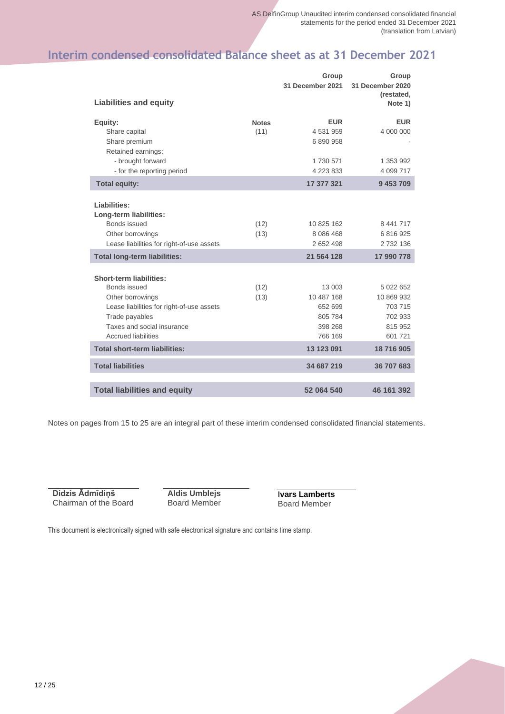## **Interim condensed consolidated Balance sheet as at 31 December 2021**

|                                                                                                                                                                                               |                      | Group<br>31 December 2021                                        | Group<br>31 December 2020                                           |
|-----------------------------------------------------------------------------------------------------------------------------------------------------------------------------------------------|----------------------|------------------------------------------------------------------|---------------------------------------------------------------------|
| <b>Liabilities and equity</b>                                                                                                                                                                 |                      |                                                                  | (restated,<br>Note 1)                                               |
| Equity:<br>Share capital<br>Share premium<br>Retained earnings:<br>- brought forward<br>- for the reporting period                                                                            | <b>Notes</b><br>(11) | <b>EUR</b><br>4 531 959<br>6 890 958<br>1730 571<br>4 223 833    | <b>EUR</b><br>4 000 000<br>1 353 992<br>4 099 717                   |
| <b>Total equity:</b>                                                                                                                                                                          |                      | 17 377 321                                                       | 9 453 709                                                           |
| Liabilities:<br>Long-term liabilities:<br>Bonds issued<br>Other borrowings                                                                                                                    | (12)<br>(13)         | 10 825 162<br>8 0 8 6 4 6 8                                      | 8 441 717<br>6 816 925                                              |
| Lease liabilities for right-of-use assets                                                                                                                                                     |                      | 2 652 498                                                        | 2 732 136                                                           |
| <b>Total long-term liabilities:</b>                                                                                                                                                           |                      | 21 564 128                                                       | 17 990 778                                                          |
| <b>Short-term liabilities:</b><br>Bonds issued<br>Other borrowings<br>Lease liabilities for right-of-use assets<br>Trade payables<br>Taxes and social insurance<br><b>Accrued liabilities</b> | (12)<br>(13)         | 13 003<br>10 487 168<br>652 699<br>805 784<br>398 268<br>766 169 | 5 022 652<br>10 869 932<br>703 715<br>702 933<br>815 952<br>601 721 |
| <b>Total short-term liabilities:</b>                                                                                                                                                          |                      | 13 123 091                                                       | 18716905                                                            |
| <b>Total liabilities</b>                                                                                                                                                                      |                      | 34 687 219                                                       | 36 707 683                                                          |
| <b>Total liabilities and equity</b>                                                                                                                                                           |                      | 52 064 540                                                       | 46 161 392                                                          |

Notes on pages from 15 to 25 are an integral part of these interim condensed consolidated financial statements.

**Didzis Ādmīdiņš** Chairman of the Board

**Aldis Umblejs** Board Member **Ivars Lamberts** Board Member

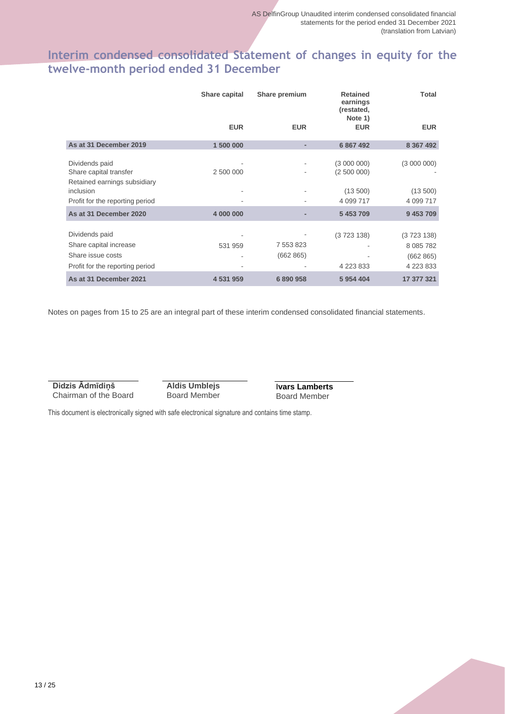## **Interim condensed consolidated Statement of changes in equity for the twelve-month period ended 31 December**

|                                                                                                  | Share capital | Share premium          | <b>Retained</b><br>earnings<br>(restated,<br>Note 1) | <b>Total</b>                                         |
|--------------------------------------------------------------------------------------------------|---------------|------------------------|------------------------------------------------------|------------------------------------------------------|
|                                                                                                  | <b>EUR</b>    | <b>EUR</b>             | <b>EUR</b>                                           | <b>EUR</b>                                           |
| As at 31 December 2019                                                                           | 1 500 000     |                        | 6 867 492                                            | 8 367 492                                            |
| Dividends paid<br>Share capital transfer<br>Retained earnings subsidiary                         | 2 500 000     |                        | (300000)<br>(2500000)                                | (3000000)                                            |
| inclusion<br>Profit for the reporting period                                                     |               |                        | (13 500)<br>4 099 717                                | (13 500)<br>4 099 717                                |
| As at 31 December 2020                                                                           | 4 000 000     |                        | 5 453 709                                            | 9 453 709                                            |
| Dividends paid<br>Share capital increase<br>Share issue costs<br>Profit for the reporting period | 531 959       | 7 553 823<br>(662 865) | (3723138)<br>4 2 2 3 8 3 3                           | (3723138)<br>8 0 8 5 7 8 2<br>(662 865)<br>4 223 833 |
| As at 31 December 2021                                                                           | 4 531 959     | 6 890 958              | 5 954 404                                            | 17 377 321                                           |

Notes on pages from 15 to 25 are an integral part of these interim condensed consolidated financial statements.

**Didzis Ādmīdiņš** Chairman of the Board **Aldis Umblejs** Board Member

**Ivars Lamberts** Board Member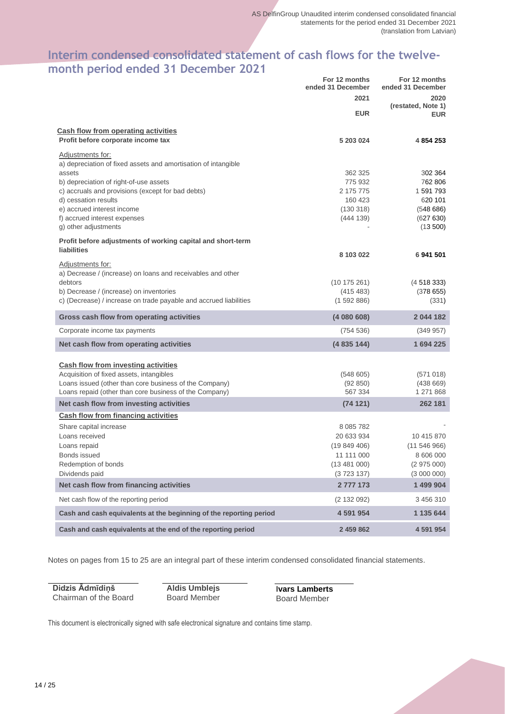## **Interim condensed consolidated statement of cash flows for the twelvemonth period ended 31 December 2021**

|                                                                                        | For 12 months<br>ended 31 December | For 12 months<br>ended 31 December |
|----------------------------------------------------------------------------------------|------------------------------------|------------------------------------|
|                                                                                        | 2021                               | 2020                               |
|                                                                                        | <b>EUR</b>                         | (restated, Note 1)<br><b>EUR</b>   |
| <b>Cash flow from operating activities</b>                                             |                                    |                                    |
| Profit before corporate income tax                                                     | 5 203 024                          | 4 854 253                          |
| Adjustments for:<br>a) depreciation of fixed assets and amortisation of intangible     |                                    |                                    |
| assets                                                                                 | 362 325                            | 302 364                            |
| b) depreciation of right-of-use assets                                                 | 775 932                            | 762 806                            |
| c) accruals and provisions (except for bad debts)<br>d) cessation results              | 2 175 775<br>160 423               | 1 591 793<br>620 101               |
| e) accrued interest income                                                             | (130318)                           | (548686)                           |
| f) accrued interest expenses                                                           | (444 139)                          | (627630)                           |
| g) other adjustments                                                                   |                                    | (13 500)                           |
| Profit before adjustments of working capital and short-term                            |                                    |                                    |
| <b>liabilities</b>                                                                     | 8 103 022                          | 6 941 501                          |
| Adjustments for:                                                                       |                                    |                                    |
| a) Decrease / (increase) on loans and receivables and other<br>debtors                 |                                    |                                    |
| b) Decrease / (increase) on inventories                                                | (10175261)<br>(415 483)            | (451833)<br>(378655)               |
| c) (Decrease) / increase on trade payable and accrued liabilities                      | (1592886)                          | (331)                              |
| Gross cash flow from operating activities                                              | (4080608)                          | 2044182                            |
| Corporate income tax payments                                                          | (754 536)                          | (349957)                           |
| Net cash flow from operating activities                                                | (4835144)                          | 1694225                            |
|                                                                                        |                                    |                                    |
| <b>Cash flow from investing activities</b><br>Acquisition of fixed assets, intangibles | (548605)                           | (571018)                           |
| Loans issued (other than core business of the Company)                                 | (92 850)                           | (438669)                           |
| Loans repaid (other than core business of the Company)                                 | 567 334                            | 1 271 868                          |
| Net cash flow from investing activities                                                | (74121)                            | 262 181                            |
| Cash flow from financing activities                                                    |                                    |                                    |
| Share capital increase                                                                 | 8 0 8 5 7 8 2                      |                                    |
| Loans received                                                                         | 20 633 934                         | 10 415 870                         |
| Loans repaid                                                                           | (19849406)                         | (11546966)                         |
| Bonds issued                                                                           | 11 111 000                         | 8 606 000                          |
| Redemption of bonds<br>Dividends paid                                                  | (13 481 000)                       | (2975000)                          |
| Net cash flow from financing activities                                                | (3723137)<br>2777173               | (3000000)<br>1 499 904             |
| Net cash flow of the reporting period                                                  | (2 132 092)                        | 3 456 310                          |
| Cash and cash equivalents at the beginning of the reporting period                     | 4 591 954                          | 1 135 644                          |
| Cash and cash equivalents at the end of the reporting period                           | 2 459 862                          | 4 591 954                          |

Notes on pages from 15 to 25 are an integral part of these interim condensed consolidated financial statements.

**Didzis Ādmīdiņš** Chairman of the Board **Aldis Umblejs** Board Member **Ivars Lamberts** Board Member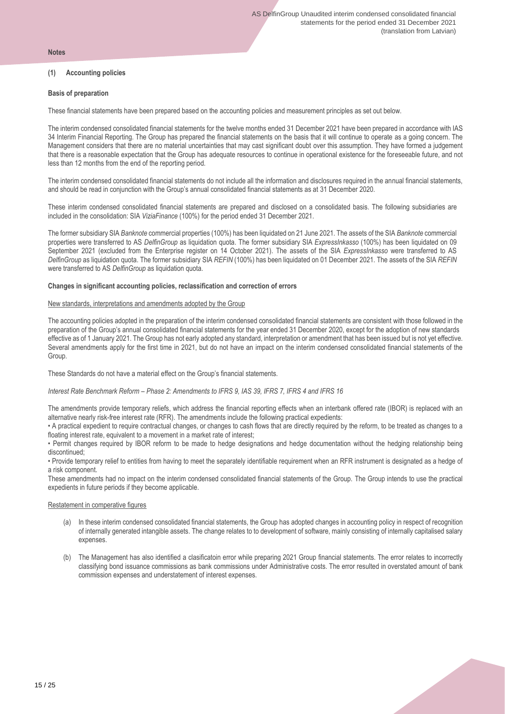#### **Notes**

#### **(1) Accounting policies**

#### **Basis of preparation**

These financial statements have been prepared based on the accounting policies and measurement principles as set out below.

The interim condensed consolidated financial statements for the twelve months ended 31 December 2021 have been prepared in accordance with IAS 34 Interim Financial Reporting. The Group has prepared the financial statements on the basis that it will continue to operate as a going concern. The Management considers that there are no material uncertainties that may cast significant doubt over this assumption. They have formed a judgement that there is a reasonable expectation that the Group has adequate resources to continue in operational existence for the foreseeable future, and not less than 12 months from the end of the reporting period.

The interim condensed consolidated financial statements do not include all the information and disclosures required in the annual financial statements, and should be read in conjunction with the Group's annual consolidated financial statements as at 31 December 2020.

These interim condensed consolidated financial statements are prepared and disclosed on a consolidated basis. The following subsidiaries are included in the consolidation: SIA *ViziaFinance* (100%) for the period ended 31 December 2021.

The former subsidiary SIA *Banknote* commercial properties (100%) has been liquidated on 21 June 2021. The assets of the SIA *Banknote* commercial properties were transferred to AS *DelfinGroup* as liquidation quota. The former subsidiary SIA *ExpressInkasso* (100%) has been liquidated on 09 September 2021 (excluded from the Enterprise register on 14 October 2021). The assets of the SIA *ExpressInkasso* were transferred to AS *DelfinGroup* as liquidation quota. The former subsidiary SIA *REFIN* (100%) has been liquidated on 01 December 2021. The assets of the SIA *REFIN* were transferred to AS *DelfinGroup* as liquidation quota.

#### **Changes in significant accounting policies, reclassification and correction of errors**

#### New standards, interpretations and amendments adopted by the Group

The accounting policies adopted in the preparation of the interim condensed consolidated financial statements are consistent with those followed in the preparation of the Group's annual consolidated financial statements for the year ended 31 December 2020, except for the adoption of new standards effective as of 1 January 2021. The Group has not early adopted any standard, interpretation or amendment that has been issued but is not yet effective. Several amendments apply for the first time in 2021, but do not have an impact on the interim condensed consolidated financial statements of the Group.

These Standards do not have a material effect on the Group's financial statements.

#### *Interest Rate Benchmark Reform – Phase 2: Amendments to IFRS 9, IAS 39, IFRS 7, IFRS 4 and IFRS 16*

The amendments provide temporary reliefs, which address the financial reporting effects when an interbank offered rate (IBOR) is replaced with an alternative nearly risk-free interest rate (RFR). The amendments include the following practical expedients:

• A practical expedient to require contractual changes, or changes to cash flows that are directly required by the reform, to be treated as changes to a floating interest rate, equivalent to a movement in a market rate of interest;

• Permit changes required by IBOR reform to be made to hedge designations and hedge documentation without the hedging relationship being discontinued;

• Provide temporary relief to entities from having to meet the separately identifiable requirement when an RFR instrument is designated as a hedge of a risk component.

These amendments had no impact on the interim condensed consolidated financial statements of the Group. The Group intends to use the practical expedients in future periods if they become applicable.

#### Restatement in comperative figures

- (a) In these interim condensed consolidated financial statements, the Group has adopted changes in accounting policy in respect of recognition of internally generated intangible assets. The change relates to to development of software, mainly consisting of internally capitalised salary expenses.
- (b) The Management has also identified a clasificatoin error while preparing 2021 Group financial statements. The error relates to incorrectly classifying bond issuance commissions as bank commissions under Administrative costs. The error resulted in overstated amount of bank commission expenses and understatement of interest expenses.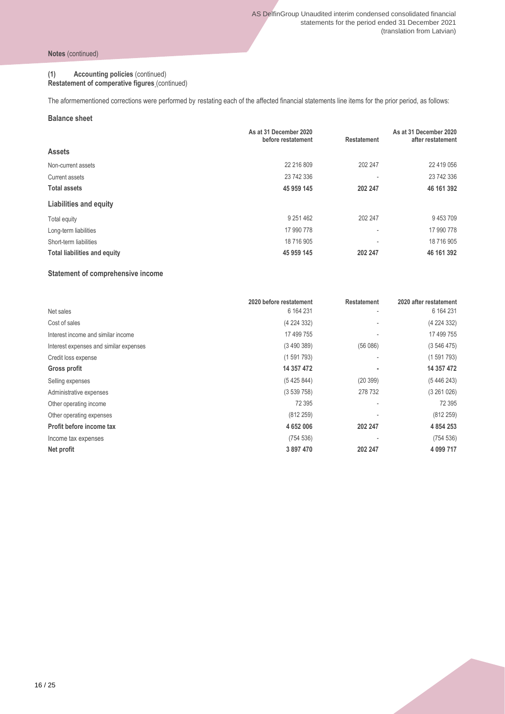#### **(1) Accounting policies** (continued)

**Restatement of comperative figures** (continued)

The aformementioned corrections were performed by restating each of the affected financial statements line items for the prior period, as follows:

#### **Balance sheet**

|                                     | As at 31 December 2020<br>before restatement | <b>Restatement</b>       | As at 31 December 2020<br>after restatement |
|-------------------------------------|----------------------------------------------|--------------------------|---------------------------------------------|
| <b>Assets</b>                       |                                              |                          |                                             |
| Non-current assets                  | 22 216 809                                   | 202 247                  | 22 419 056                                  |
| Current assets                      | 23 742 336                                   |                          | 23 742 336                                  |
| <b>Total assets</b>                 | 45 959 145                                   | 202 247                  | 46 161 392                                  |
| Liabilities and equity              |                                              |                          |                                             |
| Total equity                        | 9 251 462                                    | 202 247                  | 9453709                                     |
| Long-term liabilities               | 17 990 778                                   | $\overline{\phantom{a}}$ | 17 990 778                                  |
| Short-term liabilities              | 18 716 905                                   | ٠                        | 18 716 905                                  |
| <b>Total liabilities and equity</b> | 45 959 145                                   | 202 247                  | 46 161 392                                  |

#### **Statement of comprehensive income**

|                                        | 2020 before restatement | <b>Restatement</b>       | 2020 after restatement |
|----------------------------------------|-------------------------|--------------------------|------------------------|
| Net sales                              | 6 164 231               | $\overline{\phantom{a}}$ | 6 164 231              |
| Cost of sales                          | (4 224 332)             |                          | (4 224 332)            |
| Interest income and similar income     | 17 499 755              |                          | 17 499 755             |
| Interest expenses and similar expenses | (3490389)               | (56086)                  | (3546475)              |
| Credit loss expense                    | (1591793)               | $\overline{\phantom{a}}$ | (1591793)              |
| Gross profit                           | 14 357 472              |                          | 14 357 472             |
| Selling expenses                       | (5425844)               | (20399)                  | (5446243)              |
| Administrative expenses                | (3539758)               | 278 732                  | (3261026)              |
| Other operating income                 | 72 395                  |                          | 72 395                 |
| Other operating expenses               | (812 259)               |                          | (812 259)              |
| Profit before income tax               | 4 652 006               | 202 247                  | 4 8 5 4 2 5 3          |
| Income tax expenses                    | (754 536)               |                          | (754 536)              |
| Net profit                             | 3 897 470               | 202 247                  | 4 099 717              |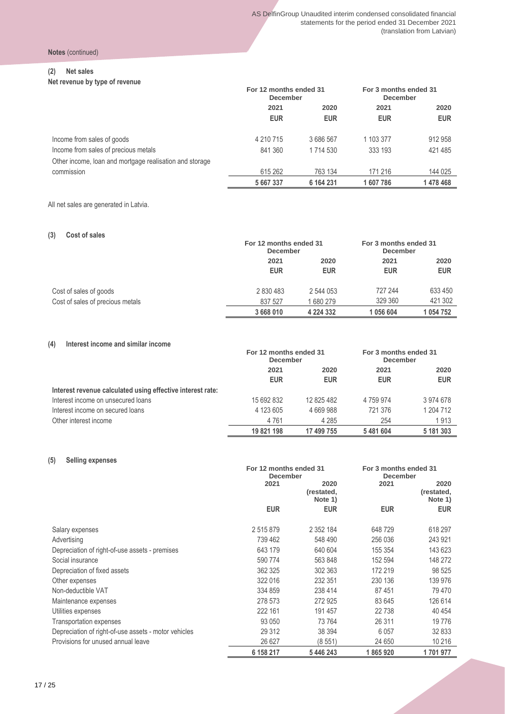**Notes** (continued)

#### **(2) Net sales**

**Net revenue by type of revenue**

| TUL IUVUIIUU DY LYPU UI IUVUIIUU                        | For 12 months ended 31<br><b>December</b> |               | For 3 months ended 31<br><b>December</b> |            |  |  |  |  |  |  |  |      |  |  |  |  |  |  |      |
|---------------------------------------------------------|-------------------------------------------|---------------|------------------------------------------|------------|--|--|--|--|--|--|--|------|--|--|--|--|--|--|------|
|                                                         | 2021<br>2020                              |               |                                          |            |  |  |  |  |  |  |  | 2021 |  |  |  |  |  |  | 2020 |
|                                                         | <b>EUR</b>                                | <b>EUR</b>    | <b>EUR</b>                               | <b>EUR</b> |  |  |  |  |  |  |  |      |  |  |  |  |  |  |      |
| Income from sales of goods                              | 4 210 715                                 | 3 686 567     | 1 103 377                                | 912 958    |  |  |  |  |  |  |  |      |  |  |  |  |  |  |      |
| Income from sales of precious metals                    | 841 360                                   | 1 7 1 4 5 3 0 | 333 193                                  | 421 485    |  |  |  |  |  |  |  |      |  |  |  |  |  |  |      |
| Other income, loan and mortgage realisation and storage |                                           |               |                                          |            |  |  |  |  |  |  |  |      |  |  |  |  |  |  |      |
| commission                                              | 615 262                                   | 763 134       | 171 216                                  | 144 025    |  |  |  |  |  |  |  |      |  |  |  |  |  |  |      |
|                                                         | 5 667 337                                 | 6 164 231     | 1607786                                  | 1478468    |  |  |  |  |  |  |  |      |  |  |  |  |  |  |      |

All net sales are generated in Latvia.

#### **(3) Cost of sales**

|                                  |            | For 12 months ended 31<br><b>December</b> |            | For 3 months ended 31<br><b>December</b> |
|----------------------------------|------------|-------------------------------------------|------------|------------------------------------------|
|                                  | 2021       | 2020                                      |            | 2020                                     |
|                                  | <b>EUR</b> | <b>EUR</b>                                | <b>EUR</b> | <b>EUR</b>                               |
| Cost of sales of goods           | 2 830 483  | 2 544 053                                 | 727 244    | 633 450                                  |
| Cost of sales of precious metals | 837 527    | 680 279                                   | 329 360    | 421 302                                  |
|                                  | 3 668 010  | 4 2 2 4 3 3 2                             | 1056604    | 1054752                                  |

#### **(4) Interest income and similar income**

|                                                            | For 12 months ended 31<br><b>December</b> |                    | For 3 months ended 31<br><b>December</b> |                    |  |
|------------------------------------------------------------|-------------------------------------------|--------------------|------------------------------------------|--------------------|--|
|                                                            | 2021<br><b>EUR</b>                        | 2020<br><b>EUR</b> | 2021<br><b>EUR</b>                       | 2020<br><b>EUR</b> |  |
| Interest revenue calculated using effective interest rate: |                                           |                    |                                          |                    |  |
| Interest income on unsecured loans                         | 15 692 832                                | 12 825 482         | 4759974                                  | 3974678            |  |
| Interest income on secured loans                           | 4 123 605                                 | 4 669 988          | 721 376                                  | 1 204 712          |  |
| Other interest income                                      | 4 7 6 1                                   | 4 2 8 5            | 254                                      | 1913               |  |
|                                                            | 19 821 198                                | 17 499 755         | 5481604                                  | 5 181 303          |  |

#### **(5) Selling expenses**

|                                                      | For 12 months ended 31<br><b>December</b> |                               | For 3 months ended 31<br><b>December</b> |                               |
|------------------------------------------------------|-------------------------------------------|-------------------------------|------------------------------------------|-------------------------------|
|                                                      | 2021                                      | 2020<br>(restated,<br>Note 1) | 2021                                     | 2020<br>(restated,<br>Note 1) |
|                                                      | <b>EUR</b>                                | <b>EUR</b>                    | <b>EUR</b>                               | <b>EUR</b>                    |
| Salary expenses                                      | 2515879                                   | 2 3 5 2 1 8 4                 | 648729                                   | 618 297                       |
| Advertising                                          | 739 462                                   | 548 490                       | 256 036                                  | 243 921                       |
| Depreciation of right-of-use assets - premises       | 643 179                                   | 640 604                       | 155 354                                  | 143 623                       |
| Social insurance                                     | 590 774                                   | 563 848                       | 152 594                                  | 148 272                       |
| Depreciation of fixed assets                         | 362 325                                   | 302 363                       | 172 219                                  | 98 525                        |
| Other expenses                                       | 322 016                                   | 232 351                       | 230 136                                  | 139 976                       |
| Non-deductible VAT                                   | 334 859                                   | 238 414                       | 87451                                    | 79 470                        |
| Maintenance expenses                                 | 278 573                                   | 272 925                       | 83 645                                   | 126 614                       |
| Utilities expenses                                   | 222 161                                   | 191 457                       | 22738                                    | 40 4 54                       |
| <b>Transportation expenses</b>                       | 93 050                                    | 73764                         | 26 311                                   | 19776                         |
| Depreciation of right-of-use assets - motor vehicles | 29 312                                    | 38 394                        | 6 0 5 7                                  | 32 833                        |
| Provisions for unused annual leave                   | 26 627                                    | (8551)                        | 24 650                                   | 10 216                        |
|                                                      | 6 158 217                                 | 5 446 243                     | 1865920                                  | 1701977                       |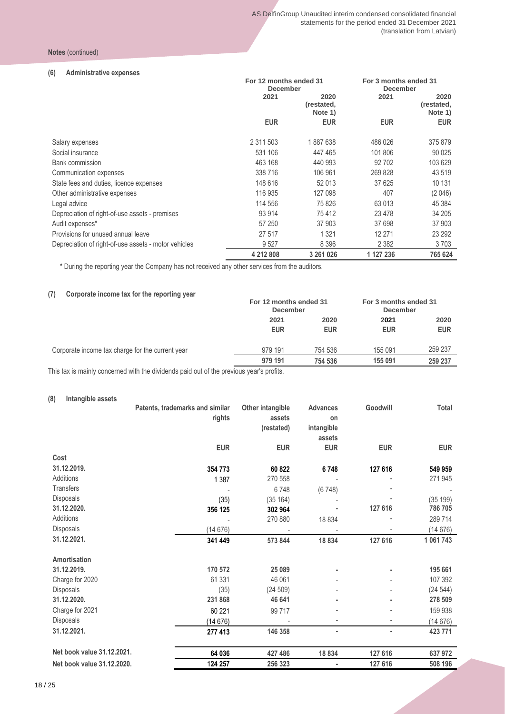#### **Notes** (continued)

#### **(6) Administrative expenses**

|                                                      | For 12 months ended 31<br><b>December</b> |            | For 3 months ended 31<br><b>December</b> |                               |  |
|------------------------------------------------------|-------------------------------------------|------------|------------------------------------------|-------------------------------|--|
|                                                      | 2021<br>2020<br>(restated,<br>Note 1)     |            | 2021                                     | 2020<br>(restated,<br>Note 1) |  |
|                                                      | <b>EUR</b>                                | <b>EUR</b> | <b>EUR</b>                               | <b>EUR</b>                    |  |
| Salary expenses                                      | 2 3 1 5 0 3                               | 1887638    | 486 026                                  | 375 879                       |  |
| Social insurance                                     | 531 106                                   | 447 465    | 101 806                                  | 90 0 25                       |  |
| <b>Bank commission</b>                               | 463 168                                   | 440 993    | 92 702                                   | 103 629                       |  |
| Communication expenses                               | 338716                                    | 106 961    | 269 828                                  | 43 519                        |  |
| State fees and duties, licence expenses              | 148 616                                   | 52 013     | 37 625                                   | 10 131                        |  |
| Other administrative expenses                        | 116 935                                   | 127 098    | 407                                      | (2046)                        |  |
| Legal advice                                         | 114 556                                   | 75826      | 63 013                                   | 45 384                        |  |
| Depreciation of right-of-use assets - premises       | 93 914                                    | 75412      | 23 4 78                                  | 34 205                        |  |
| Audit expenses*                                      | 57 250                                    | 37 903     | 37 698                                   | 37 903                        |  |
| Provisions for unused annual leave                   | 27 517                                    | 1 3 2 1    | 12 271                                   | 23 29 2                       |  |
| Depreciation of right-of-use assets - motor vehicles | 9527                                      | 8 3 9 6    | 2 3 8 2                                  | 3703                          |  |
|                                                      | 4 212 808                                 | 3 261 026  | 1 127 236                                | 765 624                       |  |

\* During the reporting year the Company has not received any other services from the auditors.

#### **(7) Corporate income tax for the reporting year**

|                                                                                                                 |                    | For 12 months ended 31<br><b>December</b> |                    | For 3 months ended 31<br><b>December</b> |
|-----------------------------------------------------------------------------------------------------------------|--------------------|-------------------------------------------|--------------------|------------------------------------------|
|                                                                                                                 | 2021<br><b>EUR</b> | 2020<br><b>EUR</b>                        | 2021<br><b>EUR</b> | 2020<br><b>EUR</b>                       |
| Corporate income tax charge for the current year                                                                | 979 191            | 754 536                                   | 155 091            | 259 237                                  |
| الملائمة والمواجب ويتمشيهم وطلائم شبيه الراوية والمواطن زالي وطلا واشتره الموجود وموادي والمتموم وتراويه وتطارح | 979 191            | 754 536                                   | 155 091            | 259 237                                  |

This tax is mainly concerned with the dividends paid out of the previous year's profits.

#### **(8) Intangible assets**

|                            | Patents, trademarks and similar | Other intangible | <b>Advances</b> | Goodwill   | Total      |
|----------------------------|---------------------------------|------------------|-----------------|------------|------------|
|                            | rights                          | assets           | on              |            |            |
|                            |                                 | (restated)       | intangible      |            |            |
|                            |                                 |                  | assets          |            |            |
|                            | <b>EUR</b>                      | <b>EUR</b>       | <b>EUR</b>      | <b>EUR</b> | <b>EUR</b> |
| Cost                       |                                 |                  |                 |            |            |
| 31.12.2019.                | 354 773                         | 60 822           | 6748            | 127 616    | 549 959    |
| Additions                  | 1 3 8 7                         | 270 558          |                 |            | 271 945    |
| <b>Transfers</b>           |                                 | 6748             | (6748)          |            |            |
| Disposals                  | (35)                            | (35 164)         |                 |            | (35 199)   |
| 31.12.2020.                | 356 125                         | 302 964          |                 | 127 616    | 786 705    |
| Additions                  |                                 | 270 880          | 18 8 34         |            | 289 714    |
| Disposals                  | (14676)                         |                  |                 |            | (14676)    |
| 31.12.2021.                | 341 449                         | 573 844          | 18 834          | 127 616    | 1 061 743  |
| <b>Amortisation</b>        |                                 |                  |                 |            |            |
| 31.12.2019.                | 170 572                         | 25 089           |                 |            | 195 661    |
| Charge for 2020            | 61 331                          | 46 061           |                 |            | 107 392    |
| Disposals                  | (35)                            | (24509)          |                 |            | (24544)    |
| 31.12.2020.                | 231 868                         | 46 641           |                 |            | 278 509    |
| Charge for 2021            | 60 221                          | 99 717           |                 |            | 159 938    |
| Disposals                  | (14676)                         |                  |                 |            | (14676)    |
| 31.12.2021.                | 277 413                         | 146 358          | ٠               | ٠          | 423 771    |
| Net book value 31.12.2021. | 64 036                          | 427 486          | 18834           | 127 616    | 637 972    |
| Net book value 31.12.2020. | 124 257                         | 256 323          |                 | 127 616    | 508 196    |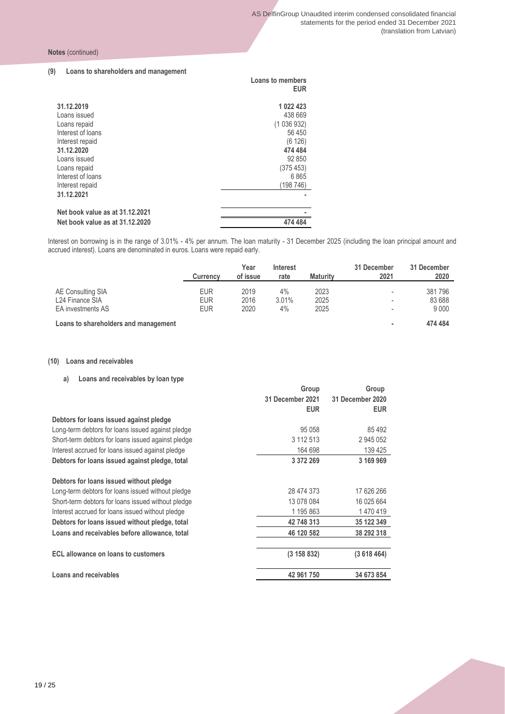#### **(9) Loans to shareholders and management**

|                                                                                                                                                                                        | <b>Loans to members</b><br><b>EUR</b>                                                                      |
|----------------------------------------------------------------------------------------------------------------------------------------------------------------------------------------|------------------------------------------------------------------------------------------------------------|
| 31.12.2019<br>Loans issued<br>Loans repaid<br>Interest of loans<br>Interest repaid<br>31.12.2020<br>Loans issued<br>Loans repaid<br>Interest of loans<br>Interest repaid<br>31.12.2021 | 1 022 423<br>438 669<br>(1036932)<br>56 450<br>(6126)<br>474 484<br>92 850<br>(375453)<br>6865<br>(198746) |
| Net book value as at 31.12.2021<br>Net book value as at 31.12.2020                                                                                                                     | 474 484                                                                                                    |

Interest on borrowing is in the range of 3.01% - 4% per annum. The loan maturity - 31 December 2025 (including the loan principal amount and accrued interest). Loans are denominated in euros. Loans were repaid early.

|                                      | <b>Currency</b> | Year<br>of issue | Interest<br>rate | <b>Maturity</b> | 31 December<br>2021      | 31 December<br>2020 |
|--------------------------------------|-----------------|------------------|------------------|-----------------|--------------------------|---------------------|
| AE Consulting SIA                    | <b>EUR</b>      | 2019             | $4\%$            | 2023            |                          | 381 796             |
|                                      |                 |                  |                  |                 | $\overline{\phantom{a}}$ |                     |
| L24 Finance SIA                      | <b>EUR</b>      | 2016             | 3.01%            | 2025            | $\overline{\phantom{a}}$ | 83 688              |
| EA investments AS                    | <b>EUR</b>      | 2020             | 4%               | 2025            | $\overline{\phantom{a}}$ | 9 0 0 0             |
| Loans to shareholders and management |                 |                  |                  |                 | ۰                        | 474 484             |

#### **(10) Loans and receivables**

**a) Loans and receivables by loan type**

|                                                    | Group            | Group            |
|----------------------------------------------------|------------------|------------------|
|                                                    | 31 December 2021 | 31 December 2020 |
|                                                    | <b>EUR</b>       | <b>EUR</b>       |
| Debtors for loans issued against pledge            |                  |                  |
| Long-term debtors for loans issued against pledge  | 95 058           | 85 4 92          |
| Short-term debtors for loans issued against pledge | 3 112 513        | 2 945 052        |
| Interest accrued for loans issued against pledge   | 164 698          | 139 425          |
| Debtors for loans issued against pledge, total     | 3 372 269        | 3 169 969        |
| Debtors for loans issued without pledge            |                  |                  |
| Long-term debtors for loans issued without pledge  | 28 474 373       | 17 626 266       |
| Short-term debtors for loans issued without pledge | 13 078 084       | 16 025 664       |
| Interest accrued for loans issued without pledge   | 1 195 863        | 1470419          |
| Debtors for loans issued without pledge, total     | 42 748 313       | 35 122 349       |
| Loans and receivables before allowance, total      | 46 120 582       | 38 292 318       |
|                                                    |                  |                  |
| ECL allowance on loans to customers                | (3 158 832)      | (3618464)        |
| Loans and receivables                              | 42 961 750       | 34 673 854       |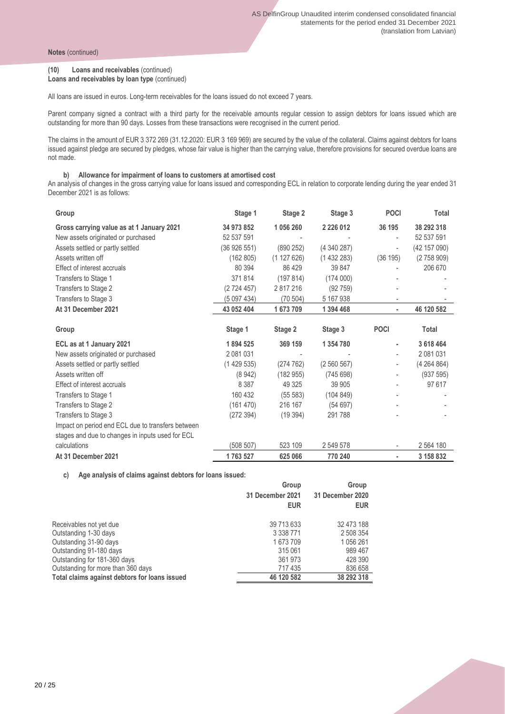#### **(10) Loans and receivables** (continued)

**Loans and receivables by loan type** (continued)

All loans are issued in euros. Long-term receivables for the loans issued do not exceed 7 years.

Parent company signed a contract with a third party for the receivable amounts regular cession to assign debtors for loans issued which are outstanding for more than 90 days. Losses from these transactions were recognised in the current period.

The claims in the amount of EUR 3 372 269 (31.12.2020: EUR 3 169 969) are secured by the value of the collateral. Claims against debtors for loans issued against pledge are secured by pledges, whose fair value is higher than the carrying value, therefore provisions for secured overdue loans are not made.

#### **b) Allowance for impairment of loans to customers at amortised cost**

An analysis of changes in the gross carrying value for loans issued and corresponding ECL in relation to corporate lending during the year ended 31 December 2021 is as follows:

| Group                                             | Stage 1     | Stage 2   | Stage 3       | <b>POCI</b>              | <b>Total</b>  |
|---------------------------------------------------|-------------|-----------|---------------|--------------------------|---------------|
| Gross carrying value as at 1 January 2021         | 34 973 852  | 1 056 260 | 2 2 2 6 0 1 2 | 36 195                   | 38 292 318    |
| New assets originated or purchased                | 52 537 591  |           |               | ٠                        | 52 537 591    |
| Assets settled or partly settled                  | (36926551)  | (890 252) | (4340287)     |                          | (42 157 090)  |
| Assets written off                                | (162 805)   | (1127626) | (1432283)     | (36195)                  | (2758909)     |
| Effect of interest accruals                       | 80 394      | 86 4 29   | 39 847        |                          | 206 670       |
| Transfers to Stage 1                              | 371814      | (197814)  | (174000)      |                          |               |
| Transfers to Stage 2                              | (2724457)   | 2817216   | (92759)       |                          |               |
| Transfers to Stage 3                              | (5 097 434) | (70 504)  | 5 167 938     |                          |               |
| At 31 December 2021                               | 43 052 404  | 1673709   | 1 394 468     | ٠                        | 46 120 582    |
|                                                   |             |           |               |                          |               |
| Group                                             | Stage 1     | Stage 2   | Stage 3       | <b>POCI</b>              | Total         |
| ECL as at 1 January 2021                          | 1894 525    | 369 159   | 1 354 780     |                          | 3 618 464     |
| New assets originated or purchased                | 2 081 031   |           |               | ٠                        | 2 081 031     |
| Assets settled or partly settled                  | (1429535)   | (274 762) | (2 560 567)   | $\overline{\phantom{0}}$ | (4264864)     |
| Assets written off                                | (8942)      | (182955)  | (745698)      |                          | (937 595)     |
| Effect of interest accruals                       | 8 3 8 7     | 49 325    | 39 905        |                          | 97 617        |
| Transfers to Stage 1                              | 160 432     | (55 583)  | (104 849)     |                          |               |
| Transfers to Stage 2                              | (161 470)   | 216 167   | (54697)       |                          |               |
| Transfers to Stage 3                              | (272 394)   | (19394)   | 291788        |                          |               |
| Impact on period end ECL due to transfers between |             |           |               |                          |               |
| stages and due to changes in inputs used for ECL  |             |           |               |                          |               |
| calculations                                      | (508 507)   | 523 109   | 2 549 578     |                          | 2 5 6 4 1 8 0 |
| At 31 December 2021                               | 1763 527    | 625 066   | 770 240       | ٠                        | 3 158 832     |

**c) Age analysis of claims against debtors for loans issued:**

|                                               | Group            | Group            |  |
|-----------------------------------------------|------------------|------------------|--|
|                                               | 31 December 2021 | 31 December 2020 |  |
|                                               | <b>EUR</b>       | <b>EUR</b>       |  |
| Receivables not yet due                       | 39 713 633       | 32 473 188       |  |
| Outstanding 1-30 days                         | 3 338 771        | 2 508 354        |  |
| Outstanding 31-90 days                        | 1673709          | 1 056 261        |  |
| Outstanding 91-180 days                       | 315 061          | 989 467          |  |
| Outstanding for 181-360 days                  | 361 973          | 428 390          |  |
| Outstanding for more than 360 days            | 717435           | 836 658          |  |
| Total claims against debtors for loans issued | 46 120 582       | 38 292 318       |  |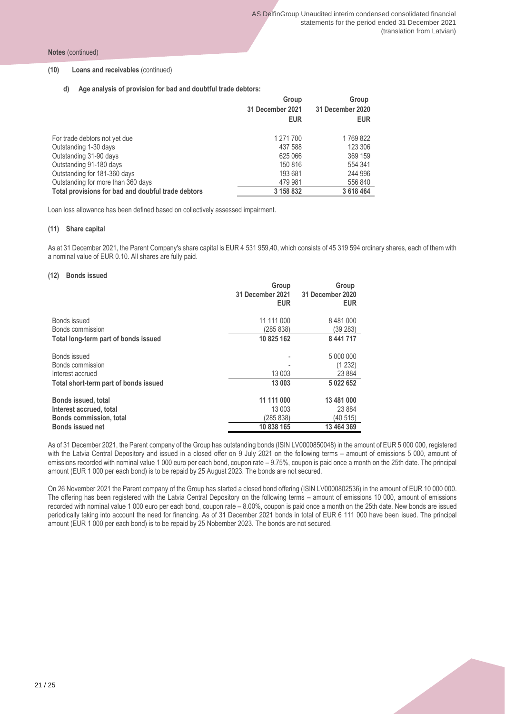**Notes** (continued)

#### **(10) Loans and receivables** (continued)

**d) Age analysis of provision for bad and doubtful trade debtors:**

|                                                    | Group            | Group<br>31 December 2020 |  |
|----------------------------------------------------|------------------|---------------------------|--|
|                                                    | 31 December 2021 |                           |  |
|                                                    | <b>EUR</b>       | <b>EUR</b>                |  |
| For trade debtors not yet due                      | 1 271 700        | 1769822                   |  |
| Outstanding 1-30 days                              | 437 588          | 123 306                   |  |
| Outstanding 31-90 days                             | 625 066          | 369 159                   |  |
| Outstanding 91-180 days                            | 150 816          | 554 341                   |  |
| Outstanding for 181-360 days                       | 193 681          | 244 996                   |  |
| Outstanding for more than 360 days                 | 479 981          | 556 840                   |  |
| Total provisions for bad and doubful trade debtors | 3 158 832        | 3 618 464                 |  |

Loan loss allowance has been defined based on collectively assessed impairment.

#### **(11) Share capital**

As at 31 December 2021, the Parent Company's share capital is EUR 4 531 959,40, which consists of 45 319 594 ordinary shares, each of them with a nominal value of EUR 0.10. All shares are fully paid.

#### **(12) Bonds issued**

|                                       | Group<br>31 December 2021<br><b>EUR</b> | Group<br>31 December 2020<br><b>EUR</b> |
|---------------------------------------|-----------------------------------------|-----------------------------------------|
| Bonds issued                          | 11 111 000                              | 8 481 000                               |
| Bonds commission                      | (285 838)                               | (39 283)                                |
| Total long-term part of bonds issued  | 10 825 162                              | 8 441 717                               |
| Bonds issued                          |                                         | 5 000 000                               |
| Bonds commission                      |                                         | (1232)                                  |
| Interest accrued                      | 13 003                                  | 23 8 84                                 |
| Total short-term part of bonds issued | 13 003                                  | 5 022 652                               |
| <b>Bonds issued, total</b>            | 11 111 000                              | 13 481 000                              |
| Interest accrued, total               | 13 003                                  | 23 8 84                                 |
| <b>Bonds commission, total</b>        | (285 838)                               | (40 515)                                |
| <b>Bonds issued net</b>               | 10 838 165                              | 13 464 369                              |

As of 31 December 2021, the Parent company of the Group has outstanding bonds (ISIN LV0000850048) in the amount of EUR 5 000 000, registered with the Latvia Central Depository and issued in a closed offer on 9 July 2021 on the following terms – amount of emissions 5 000, amount of emissions recorded with nominal value 1 000 euro per each bond, coupon rate – 9.75%, coupon is paid once a month on the 25th date. The principal amount (EUR 1 000 per each bond) is to be repaid by 25 August 2023. The bonds are not secured.

On 26 November 2021 the Parent company of the Group has started a closed bond offering (ISIN LV0000802536) in the amount of EUR 10 000 000. The offering has been registered with the Latvia Central Depository on the following terms – amount of emissions 10 000, amount of emissions recorded with nominal value 1 000 euro per each bond, coupon rate – 8.00%, coupon is paid once a month on the 25th date. New bonds are issued periodically taking into account the need for financing. As of 31 December 2021 bonds in total of EUR 6 111 000 have been isued. The principal amount (EUR 1 000 per each bond) is to be repaid by 25 Nobember 2023. The bonds are not secured.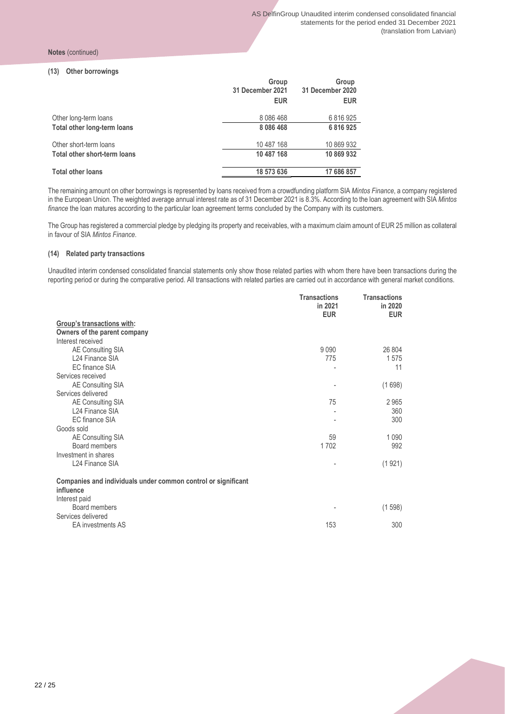#### **Notes** (continued)

#### **(13) Other borrowings**

| Group<br>31 December 2021<br><b>EUR</b> | Group<br>31 December 2020<br><b>EUR</b> |
|-----------------------------------------|-----------------------------------------|
| 8 0 8 6 4 6 8                           | 6816925                                 |
| 8 0 8 6 4 6 8                           | 6816925                                 |
| 10 487 168                              | 10 869 932                              |
| 10 487 168                              | 10 869 932                              |
| 18 573 636                              | 17 686 857                              |
|                                         |                                         |

The remaining amount on other borrowings is represented by loans received from a crowdfunding platform SIA *Mintos Finance*, a company registered in the European Union. The weighted average annual interest rate as of 31 December 2021 is 8.3%. According to the loan agreement with SIA *Mintos finance* the loan matures according to the particular loan agreement terms concluded by the Company with its customers.

The Group has registered a commercial pledge by pledging its property and receivables, with a maximum claim amount of EUR 25 million as collateral in favour of SIA *Mintos Finance*.

#### **(14) Related party transactions**

Unaudited interim condensed consolidated financial statements only show those related parties with whom there have been transactions during the reporting period or during the comparative period. All transactions with related parties are carried out in accordance with general market conditions.

|                                                               | Transactions<br>in 2021 | Transactions<br>in 2020 |
|---------------------------------------------------------------|-------------------------|-------------------------|
|                                                               | <b>EUR</b>              | <b>EUR</b>              |
| Group's transactions with:                                    |                         |                         |
| Owners of the parent company                                  |                         |                         |
| Interest received                                             |                         |                         |
| AE Consulting SIA                                             | 9 0 9 0                 | 26 804                  |
| L24 Finance SIA                                               | 775                     | 1575                    |
| EC finance SIA                                                |                         | 11                      |
| Services received                                             |                         |                         |
| AE Consulting SIA                                             |                         | (1698)                  |
| Services delivered                                            |                         |                         |
| AE Consulting SIA                                             | 75                      | 2965                    |
| L24 Finance SIA                                               |                         | 360                     |
| EC finance SIA                                                |                         | 300                     |
| Goods sold                                                    |                         |                         |
| AE Consulting SIA                                             | 59                      | 1 0 9 0                 |
| Board members                                                 | 1702                    | 992                     |
| Investment in shares                                          |                         |                         |
| L24 Finance SIA                                               |                         | (1921)                  |
| Companies and individuals under common control or significant |                         |                         |
| influence                                                     |                         |                         |
| Interest paid                                                 |                         |                         |
| Board members                                                 |                         | (1598)                  |
| Services delivered                                            |                         |                         |
| <b>EA</b> investments AS                                      | 153                     | 300                     |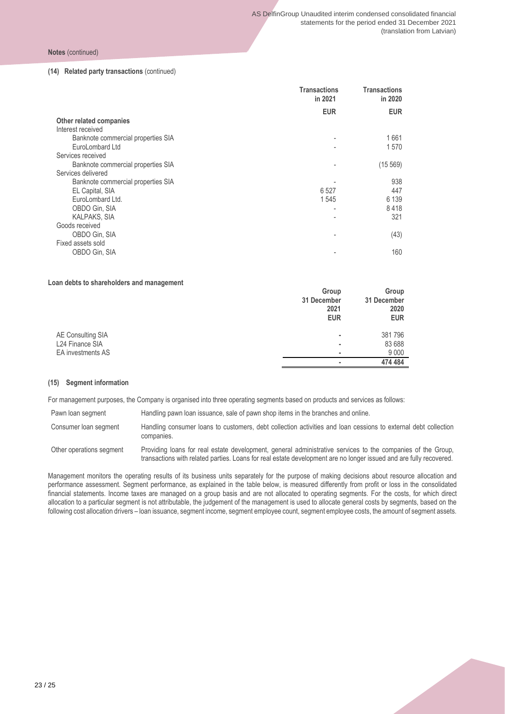**Notes** (continued)

#### **(14) Related party transactions** (continued)

|                                    | Transactions<br>in 2021 | Transactions<br>in 2020 |
|------------------------------------|-------------------------|-------------------------|
|                                    | <b>EUR</b>              | <b>EUR</b>              |
| Other related companies            |                         |                         |
| Interest received                  |                         |                         |
| Banknote commercial properties SIA |                         | 1661                    |
| EuroLombard Ltd                    |                         | 1570                    |
| Services received                  |                         |                         |
| Banknote commercial properties SIA |                         | (15 569)                |
| Services delivered                 |                         |                         |
| Banknote commercial properties SIA |                         | 938                     |
| EL Capital, SIA                    | 6 5 2 7                 | 447                     |
| EuroLombard Ltd.                   | 1545                    | 6 1 3 9                 |
| OBDO Gin, SIA                      |                         | 8418                    |
| <b>KALPAKS, SIA</b>                |                         | 321                     |
| Goods received                     |                         |                         |
| OBDO Gin, SIA                      |                         | (43)                    |
| Fixed assets sold                  |                         |                         |
| OBDO Gin, SIA                      |                         | 160                     |
|                                    |                         |                         |

#### **Loan debts to shareholders and management**

|                                                           | Group<br>31 December<br>2021<br><b>EUR</b> | Group<br>31 December<br>2020<br><b>EUR</b> |
|-----------------------------------------------------------|--------------------------------------------|--------------------------------------------|
| AE Consulting SIA<br>L24 Finance SIA<br>EA investments AS | ٠<br>٠                                     | 381796<br>83 688<br>9 0 0 0                |
|                                                           |                                            | 474 484                                    |

#### **(15) Segment information**

For management purposes, the Company is organised into three operating segments based on products and services as follows:

Pawn loan segment Handling pawn loan issuance, sale of pawn shop items in the branches and online.

Consumer loan segment Handling consumer loans to customers, debt collection activities and loan cessions to external debt collection companies.

Other operations segment Providing loans for real estate development, general administrative services to the companies of the Group, transactions with related parties. Loans for real estate development are no longer issued and are fully recovered.

Management monitors the operating results of its business units separately for the purpose of making decisions about resource allocation and performance assessment. Segment performance, as explained in the table below, is measured differently from profit or loss in the consolidated financial statements. Income taxes are managed on a group basis and are not allocated to operating segments. For the costs, for which direct allocation to a particular segment is not attributable, the judgement of the management is used to allocate general costs by segments, based on the following cost allocation drivers – loan issuance, segment income, segment employee count, segment employee costs, the amount of segment assets.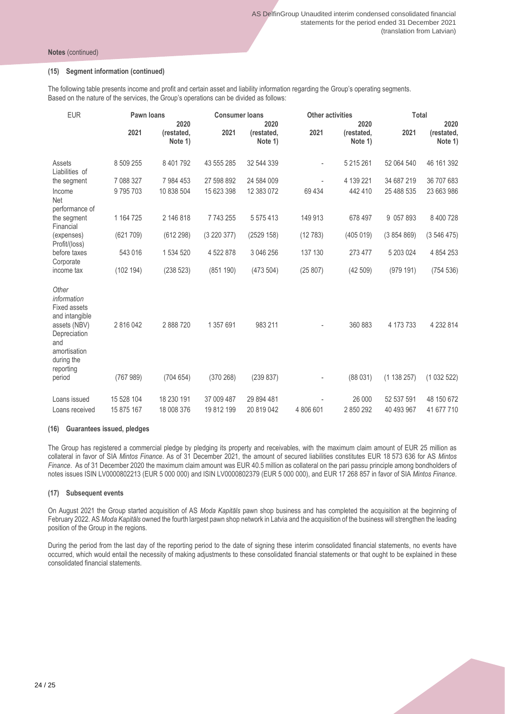#### **(15) Segment information (continued)**

The following table presents income and profit and certain asset and liability information regarding the Group's operating segments. Based on the nature of the services, the Group's operations can be divided as follows:

| <b>EUR</b>                                                                                                                                      | Pawn loans          |                               | <b>Consumer loans</b>  |                               |           | <b>Other activities</b>       |                        | <b>Total</b>                  |  |
|-------------------------------------------------------------------------------------------------------------------------------------------------|---------------------|-------------------------------|------------------------|-------------------------------|-----------|-------------------------------|------------------------|-------------------------------|--|
|                                                                                                                                                 | 2021                | 2020<br>(restated,<br>Note 1) | 2021                   | 2020<br>(restated,<br>Note 1) | 2021      | 2020<br>(restated,<br>Note 1) | 2021                   | 2020<br>(restated,<br>Note 1) |  |
| Assets<br>Liabilities of                                                                                                                        | 8 509 255           | 8 401 792                     | 43 555 285             | 32 544 339                    |           | 5 215 261                     | 52 064 540             | 46 161 392                    |  |
| the segment                                                                                                                                     | 7 088 327           | 7 984 453                     | 27 598 892             | 24 584 009                    |           | 4 139 221                     | 34 687 219             | 36 707 683                    |  |
| Income<br>Net                                                                                                                                   | 9795703             | 10 838 504                    | 15 623 398             | 12 383 072                    | 69 4 34   | 442 410                       | 25 488 535             | 23 663 986                    |  |
| performance of<br>the segment<br>Financial                                                                                                      | 1 164 725           | 2 146 818                     | 7743255                | 5 575 413                     | 149 913   | 678 497                       | 9 057 893              | 8 400 728                     |  |
| (expenses)<br>Profit/(loss)                                                                                                                     | (621709)            | (612 298)                     | (3 220 377)            | (2529 158)                    | (12783)   | (405 019)                     | (3854869)              | (3546475)                     |  |
| before taxes<br>Corporate                                                                                                                       | 543 016             | 1 534 520                     | 4 522 878              | 3 046 256                     | 137 130   | 273 477                       | 5 203 024              | 4 8 5 4 2 5 3                 |  |
| income tax                                                                                                                                      | (102 194)           | (238523)                      | (851190)               | (473504)                      | (25 807)  | (42509)                       | (979191)               | (754 536)                     |  |
| Other<br>information<br><b>Fixed assets</b><br>and intangible<br>assets (NBV)<br>Depreciation<br>and<br>amortisation<br>during the<br>reporting | 2816042<br>(767989) | 2 888 720<br>(704654)         | 1 357 691<br>(370 268) | 983 211<br>(239837)           |           | 360 883<br>(88031)            | 4 173 733<br>(1138257) | 4 232 814<br>(1032522)        |  |
| period                                                                                                                                          |                     |                               |                        |                               |           |                               |                        |                               |  |
| Loans issued                                                                                                                                    | 15 528 104          | 18 230 191                    | 37 009 487             | 29 894 481                    |           | 26 000                        | 52 537 591             | 48 150 672                    |  |
| Loans received                                                                                                                                  | 15 875 167          | 18 008 376                    | 19 812 199             | 20 819 042                    | 4 806 601 | 2850292                       | 40 493 967             | 41 677 710                    |  |

#### **(16) Guarantees issued, pledges**

The Group has registered a commercial pledge by pledging its property and receivables, with the maximum claim amount of EUR 25 million as collateral in favor of SIA *Mintos Finance*. As of 31 December 2021, the amount of secured liabilities constitutes EUR 18 573 636 for AS *Mintos Finance*. As of 31 December 2020 the maximum claim amount was EUR 40.5 million as collateral on the pari passu principle among bondholders of notes issues ISIN LV0000802213 (EUR 5 000 000) and ISIN LV0000802379 (EUR 5 000 000), and EUR 17 268 857 in favor of SIA *Mintos Finance*.

#### **(17) Subsequent events**

On August 2021 the Group started acquisition of AS *Moda Kapitāls* pawn shop business and has completed the acquisition at the beginning of February 2022. AS *Moda Kapitāls* owned the fourth largest pawn shop network in Latvia and the acquisition of the business will strengthen the leading position of the Group in the regions.

During the period from the last day of the reporting period to the date of signing these interim consolidated financial statements, no events have occurred, which would entail the necessity of making adjustments to these consolidated financial statements or that ought to be explained in these consolidated financial statements.